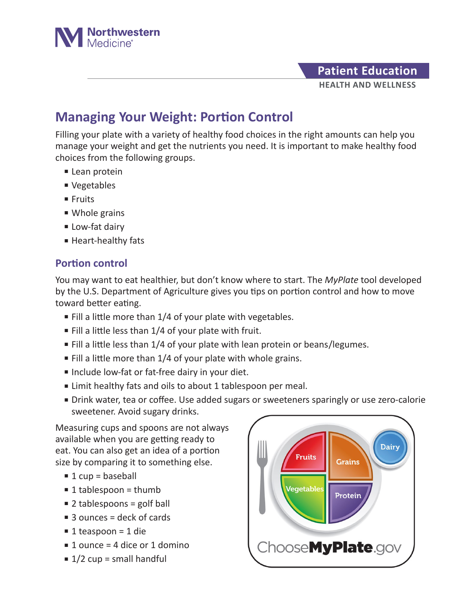

## **HEALTH AND WELLNESS Patient Education**

## **Managing Your Weight: Portion Control**

Filling your plate with a variety of healthy food choices in the right amounts can help you manage your weight and get the nutrients you need. It is important to make healthy food choices from the following groups.

- Lean protein
- Vegetables
- Fruits
- Whole grains
- Low-fat dairy
- Heart-healthy fats

## **Portion control**

You may want to eat healthier, but don't know where to start. The *MyPlate* tool developed by the U.S. Department of Agriculture gives you tips on portion control and how to move toward better eating.

- $\blacksquare$  Fill a little more than 1/4 of your plate with vegetables.
- $\blacksquare$  Fill a little less than 1/4 of your plate with fruit.
- Fill a little less than 1/4 of your plate with lean protein or beans/legumes.
- $\blacksquare$  Fill a little more than 1/4 of your plate with whole grains.
- Include low-fat or fat-free dairy in your diet.
- Limit healthy fats and oils to about 1 tablespoon per meal.
- Drink water, tea or coffee. Use added sugars or sweeteners sparingly or use zero-calorie sweetener. Avoid sugary drinks.

Measuring cups and spoons are not always available when you are getting ready to eat. You can also get an idea of a portion size by comparing it to something else.

- $\blacksquare$  1 cup = baseball
- $\blacksquare$  1 tablespoon = thumb
- $\blacksquare$  2 tablespoons = golf ball
- $\blacksquare$  3 ounces = deck of cards
- 1 teaspoon = 1 die
- 1 ounce = 4 dice or 1 domino
- $\blacksquare$  1/2 cup = small handful